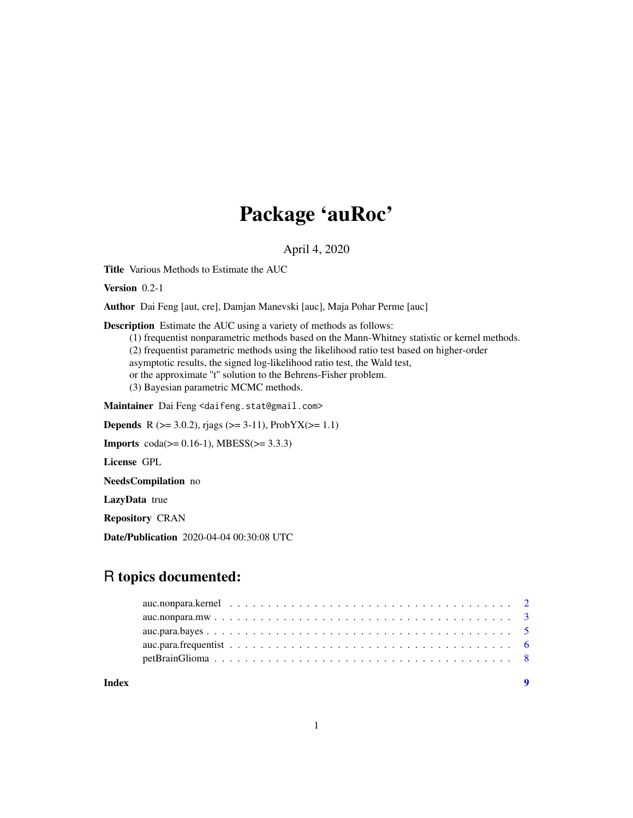## Package 'auRoc'

April 4, 2020

Title Various Methods to Estimate the AUC

Version 0.2-1

Author Dai Feng [aut, cre], Damjan Manevski [auc], Maja Pohar Perme [auc]

Description Estimate the AUC using a variety of methods as follows:

(1) frequentist nonparametric methods based on the Mann-Whitney statistic or kernel methods. (2) frequentist parametric methods using the likelihood ratio test based on higher-order asymptotic results, the signed log-likelihood ratio test, the Wald test, or the approximate ''t'' solution to the Behrens-Fisher problem. (3) Bayesian parametric MCMC methods.

Maintainer Dai Feng <daifeng.stat@gmail.com>

**Depends** R ( $>= 3.0.2$ ), rjags ( $>= 3-11$ ), ProbYX( $>= 1.1$ )

**Imports**  $\text{coda}(>= 0.16-1)$ , MBESS( $>= 3.3.3$ )

License GPL

NeedsCompilation no

LazyData true

Repository CRAN

Date/Publication 2020-04-04 00:30:08 UTC

### R topics documented:

| Index |  |
|-------|--|
|       |  |
|       |  |
|       |  |
|       |  |
|       |  |

#### 1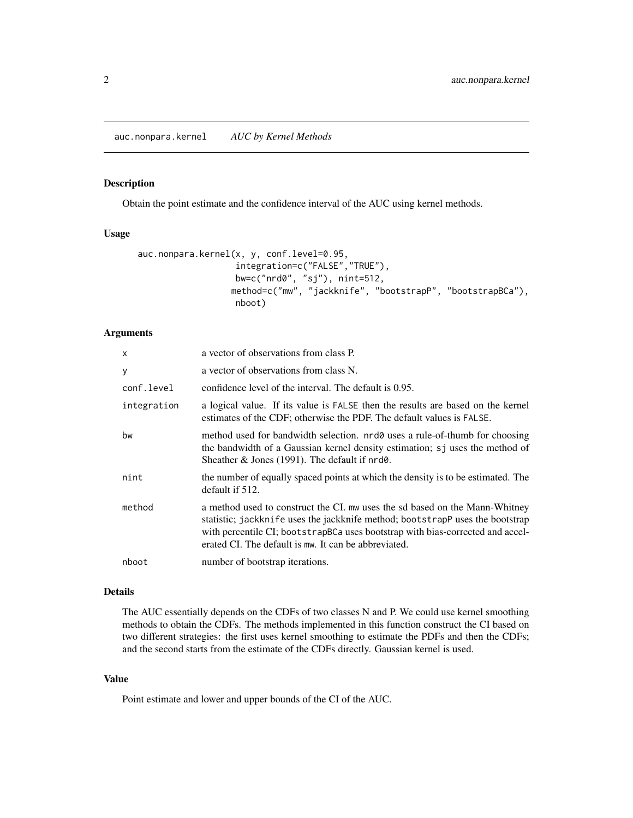<span id="page-1-0"></span>auc.nonpara.kernel *AUC by Kernel Methods*

#### Description

Obtain the point estimate and the confidence interval of the AUC using kernel methods.

#### Usage

```
auc.nonpara.kernel(x, y, conf.level=0.95,
                   integration=c("FALSE","TRUE"),
                   bw=c("nrd0", "sj"), nint=512,
                  method=c("mw", "jackknife", "bootstrapP", "bootstrapBCa"),
                   nboot)
```
#### Arguments

| $\mathsf{x}$ | a vector of observations from class P.                                                                                                                                                                                                                                                                 |
|--------------|--------------------------------------------------------------------------------------------------------------------------------------------------------------------------------------------------------------------------------------------------------------------------------------------------------|
| У            | a vector of observations from class N.                                                                                                                                                                                                                                                                 |
| conf.level   | confidence level of the interval. The default is 0.95.                                                                                                                                                                                                                                                 |
| integration  | a logical value. If its value is FALSE then the results are based on the kernel<br>estimates of the CDF; otherwise the PDF. The default values is FALSE.                                                                                                                                               |
| bw           | method used for bandwidth selection. nrd0 uses a rule-of-thumb for choosing<br>the bandwidth of a Gaussian kernel density estimation; sj uses the method of<br>Sheather & Jones (1991). The default if $nrd0$ .                                                                                        |
| nint         | the number of equally spaced points at which the density is to be estimated. The<br>default if 512.                                                                                                                                                                                                    |
| method       | a method used to construct the CI. mw uses the sd based on the Mann-Whitney<br>statistic; jackknife uses the jackknife method; bootstrapp uses the bootstrap<br>with percentile CI; bootstrapBCa uses bootstrap with bias-corrected and accel-<br>erated CI. The default is mw. It can be abbreviated. |
| nboot        | number of bootstrap iterations.                                                                                                                                                                                                                                                                        |

#### Details

The AUC essentially depends on the CDFs of two classes N and P. We could use kernel smoothing methods to obtain the CDFs. The methods implemented in this function construct the CI based on two different strategies: the first uses kernel smoothing to estimate the PDFs and then the CDFs; and the second starts from the estimate of the CDFs directly. Gaussian kernel is used.

#### Value

Point estimate and lower and upper bounds of the CI of the AUC.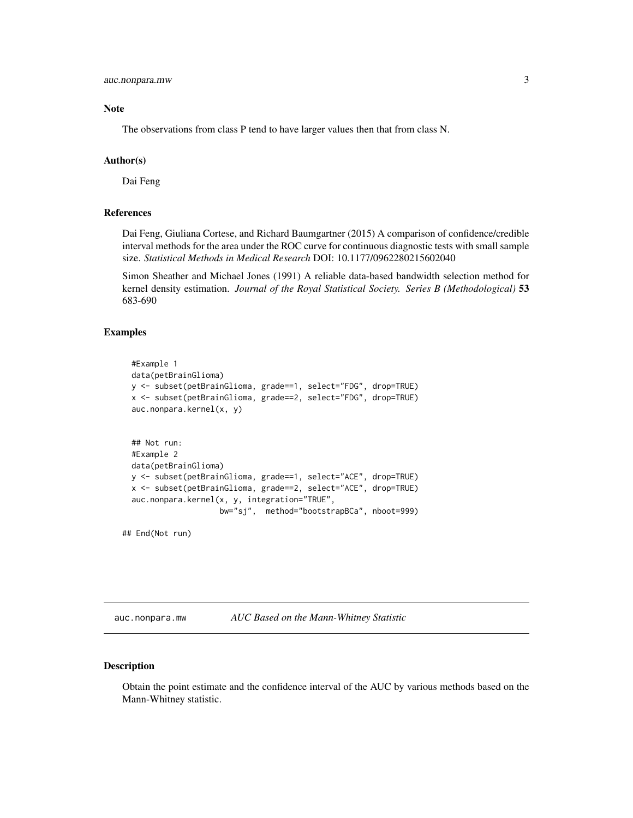#### <span id="page-2-0"></span>Note

The observations from class P tend to have larger values then that from class N.

#### Author(s)

Dai Feng

#### References

Dai Feng, Giuliana Cortese, and Richard Baumgartner (2015) A comparison of confidence/credible interval methods for the area under the ROC curve for continuous diagnostic tests with small sample size. *Statistical Methods in Medical Research* DOI: 10.1177/0962280215602040

Simon Sheather and Michael Jones (1991) A reliable data-based bandwidth selection method for kernel density estimation. *Journal of the Royal Statistical Society. Series B (Methodological)* 53 683-690

#### Examples

```
#Example 1
data(petBrainGlioma)
y <- subset(petBrainGlioma, grade==1, select="FDG", drop=TRUE)
x <- subset(petBrainGlioma, grade==2, select="FDG", drop=TRUE)
auc.nonpara.kernel(x, y)
## Not run:
#Example 2
data(petBrainGlioma)
y <- subset(petBrainGlioma, grade==1, select="ACE", drop=TRUE)
x <- subset(petBrainGlioma, grade==2, select="ACE", drop=TRUE)
auc.nonpara.kernel(x, y, integration="TRUE",
                   bw="sj", method="bootstrapBCa", nboot=999)
```
## End(Not run)

auc.nonpara.mw *AUC Based on the Mann-Whitney Statistic*

#### Description

Obtain the point estimate and the confidence interval of the AUC by various methods based on the Mann-Whitney statistic.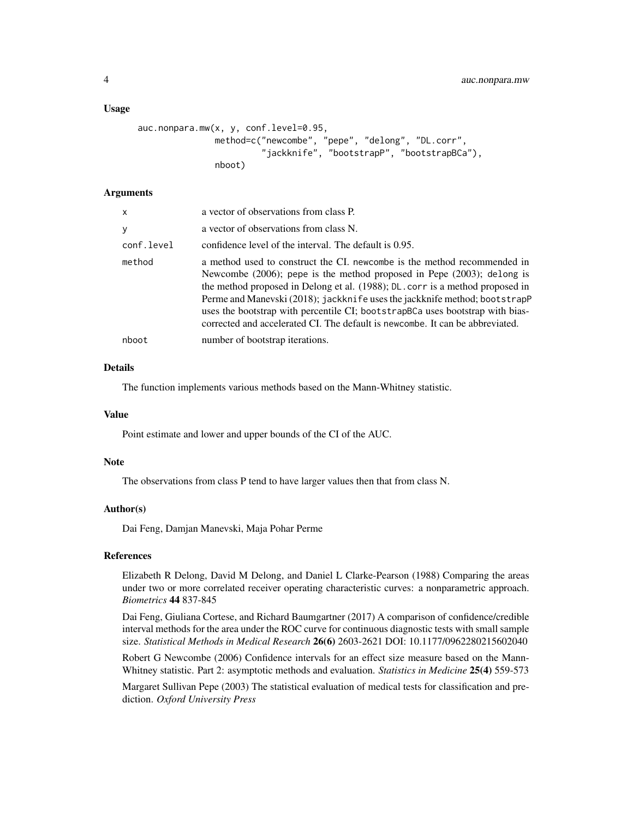#### Usage

```
auc.nonpara.mw(x, y, conf.level=0.95,
               method=c("newcombe", "pepe", "delong", "DL.corr",
                        "jackknife", "bootstrapP", "bootstrapBCa"),
               nboot)
```
#### Arguments

| x          | a vector of observations from class P.                                                                                                                                                                                                                                                                                                                                                                                                                                                    |
|------------|-------------------------------------------------------------------------------------------------------------------------------------------------------------------------------------------------------------------------------------------------------------------------------------------------------------------------------------------------------------------------------------------------------------------------------------------------------------------------------------------|
| у          | a vector of observations from class N.                                                                                                                                                                                                                                                                                                                                                                                                                                                    |
| conf.level | confidence level of the interval. The default is 0.95.                                                                                                                                                                                                                                                                                                                                                                                                                                    |
| method     | a method used to construct the CI, newcombe is the method recommended in<br>Newcombe $(2006)$ ; pepe is the method proposed in Pepe $(2003)$ ; delong is<br>the method proposed in Delong et al. (1988); DL. corr is a method proposed in<br>Perme and Manevski (2018); jackknife uses the jackknife method; bootstrapP<br>uses the bootstrap with percentile CI; bootstrapBCa uses bootstrap with bias-<br>corrected and accelerated CI. The default is newcombe. It can be abbreviated. |
| nboot      | number of bootstrap iterations.                                                                                                                                                                                                                                                                                                                                                                                                                                                           |

#### Details

The function implements various methods based on the Mann-Whitney statistic.

#### Value

Point estimate and lower and upper bounds of the CI of the AUC.

#### Note

The observations from class P tend to have larger values then that from class N.

#### Author(s)

Dai Feng, Damjan Manevski, Maja Pohar Perme

#### References

Elizabeth R Delong, David M Delong, and Daniel L Clarke-Pearson (1988) Comparing the areas under two or more correlated receiver operating characteristic curves: a nonparametric approach. *Biometrics* 44 837-845

Dai Feng, Giuliana Cortese, and Richard Baumgartner (2017) A comparison of confidence/credible interval methods for the area under the ROC curve for continuous diagnostic tests with small sample size. *Statistical Methods in Medical Research* 26(6) 2603-2621 DOI: 10.1177/0962280215602040

Robert G Newcombe (2006) Confidence intervals for an effect size measure based on the Mann-Whitney statistic. Part 2: asymptotic methods and evaluation. *Statistics in Medicine* 25(4) 559-573

Margaret Sullivan Pepe (2003) The statistical evaluation of medical tests for classification and prediction. *Oxford University Press*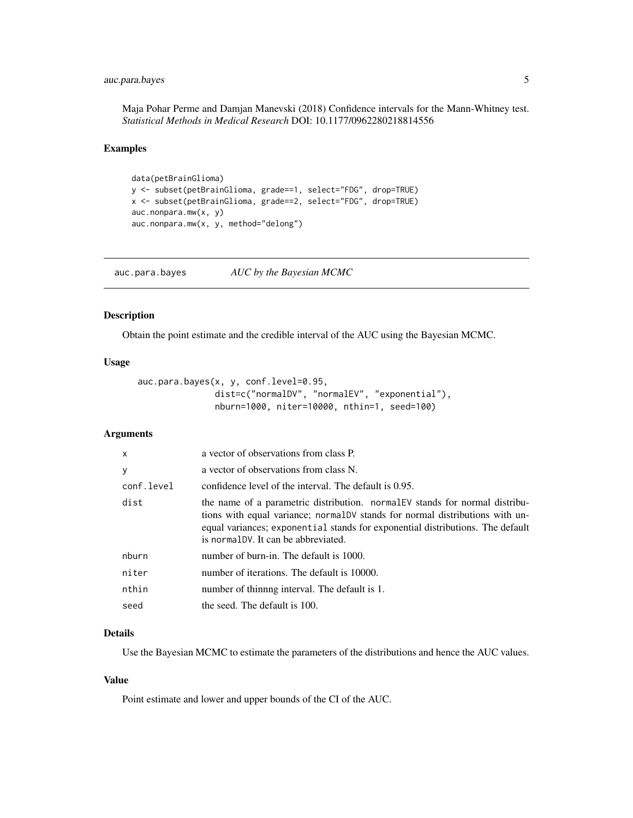#### <span id="page-4-0"></span>auc.para.bayes 5

Maja Pohar Perme and Damjan Manevski (2018) Confidence intervals for the Mann-Whitney test. *Statistical Methods in Medical Research* DOI: 10.1177/0962280218814556

#### Examples

```
data(petBrainGlioma)
y <- subset(petBrainGlioma, grade==1, select="FDG", drop=TRUE)
x <- subset(petBrainGlioma, grade==2, select="FDG", drop=TRUE)
auc.nonpara.mw(x, y)
auc.nonpara.mw(x, y, method="delong")
```
auc.para.bayes *AUC by the Bayesian MCMC*

#### Description

Obtain the point estimate and the credible interval of the AUC using the Bayesian MCMC.

#### Usage

```
auc.para.bayes(x, y, conf.level=0.95,
               dist=c("normalDV", "normalEV", "exponential"),
               nburn=1000, niter=10000, nthin=1, seed=100)
```
#### Arguments

| $\mathsf{x}$ | a vector of observations from class P.                                                                                                                                                                                                                                                 |
|--------------|----------------------------------------------------------------------------------------------------------------------------------------------------------------------------------------------------------------------------------------------------------------------------------------|
| y            | a vector of observations from class N.                                                                                                                                                                                                                                                 |
| conf.level   | confidence level of the interval. The default is 0.95.                                                                                                                                                                                                                                 |
| dist         | the name of a parametric distribution. normal EV stands for normal distribu-<br>tions with equal variance; normalDV stands for normal distributions with un-<br>equal variances; exponential stands for exponential distributions. The default<br>is normal DV. It can be abbreviated. |
| nburn        | number of burn-in. The default is 1000.                                                                                                                                                                                                                                                |
| niter        | number of iterations. The default is 10000.                                                                                                                                                                                                                                            |
| nthin        | number of thinning interval. The default is 1.                                                                                                                                                                                                                                         |
| seed         | the seed. The default is 100.                                                                                                                                                                                                                                                          |

#### Details

Use the Bayesian MCMC to estimate the parameters of the distributions and hence the AUC values.

#### Value

Point estimate and lower and upper bounds of the CI of the AUC.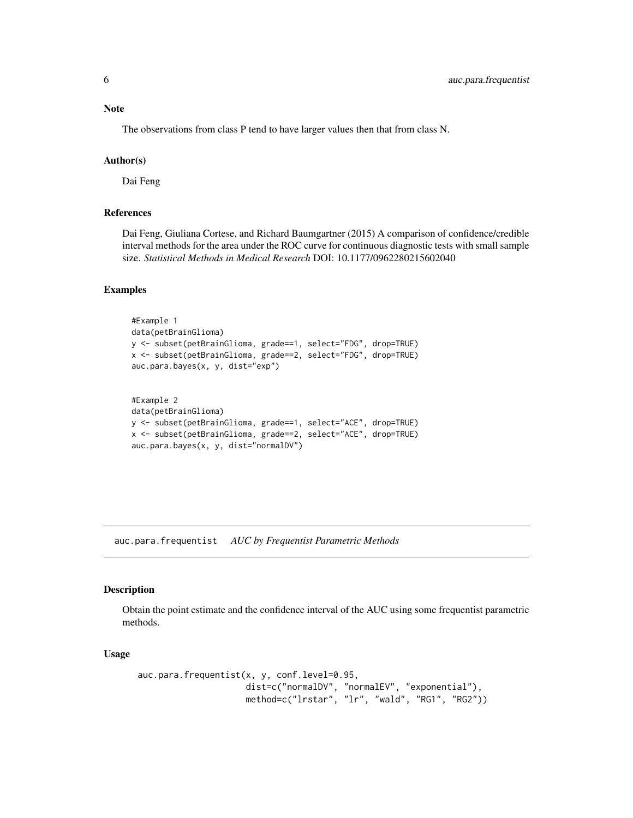#### <span id="page-5-0"></span>Note

The observations from class P tend to have larger values then that from class N.

#### Author(s)

Dai Feng

#### References

Dai Feng, Giuliana Cortese, and Richard Baumgartner (2015) A comparison of confidence/credible interval methods for the area under the ROC curve for continuous diagnostic tests with small sample size. *Statistical Methods in Medical Research* DOI: 10.1177/0962280215602040

#### Examples

```
#Example 1
data(petBrainGlioma)
y <- subset(petBrainGlioma, grade==1, select="FDG", drop=TRUE)
x <- subset(petBrainGlioma, grade==2, select="FDG", drop=TRUE)
auc.para.bayes(x, y, dist="exp")
#Example 2
data(petBrainGlioma)
y <- subset(petBrainGlioma, grade==1, select="ACE", drop=TRUE)
x <- subset(petBrainGlioma, grade==2, select="ACE", drop=TRUE)
auc.para.bayes(x, y, dist="normalDV")
```
auc.para.frequentist *AUC by Frequentist Parametric Methods*

#### Description

Obtain the point estimate and the confidence interval of the AUC using some frequentist parametric methods.

#### Usage

```
auc.para.frequentist(x, y, conf.level=0.95,
                    dist=c("normalDV", "normalEV", "exponential"),
                    method=c("lrstar", "lr", "wald", "RG1", "RG2"))
```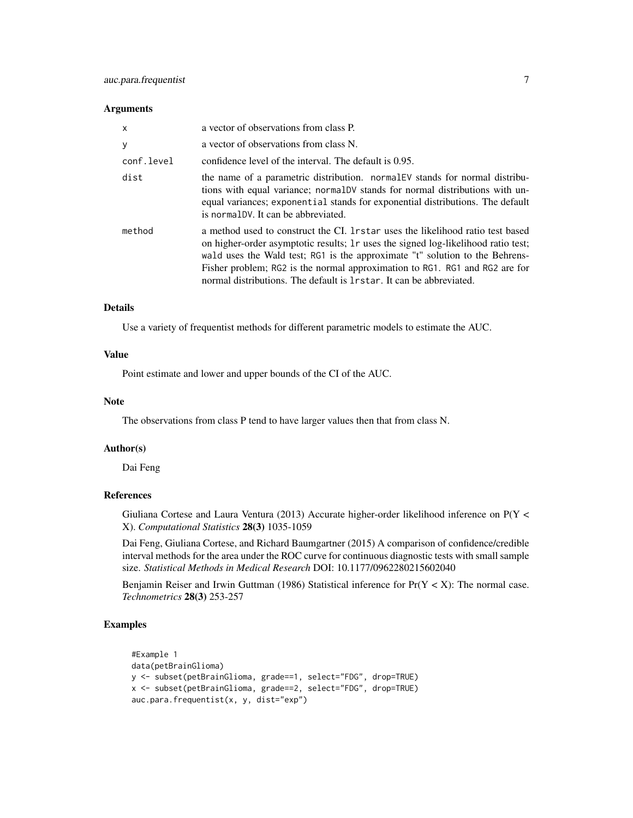#### **Arguments**

| $\mathsf{x}$ | a vector of observations from class P.                                                                                                                                                                                                                                                                                                                                                                        |
|--------------|---------------------------------------------------------------------------------------------------------------------------------------------------------------------------------------------------------------------------------------------------------------------------------------------------------------------------------------------------------------------------------------------------------------|
| y            | a vector of observations from class N.                                                                                                                                                                                                                                                                                                                                                                        |
| conf.level   | confidence level of the interval. The default is 0.95.                                                                                                                                                                                                                                                                                                                                                        |
| dist         | the name of a parametric distribution. normal EV stands for normal distribu-<br>tions with equal variance; normalDV stands for normal distributions with un-<br>equal variances; exponential stands for exponential distributions. The default<br>is normal DV. It can be abbreviated.                                                                                                                        |
| method       | a method used to construct the CI. 1 r star uses the likelihood ratio test based<br>on higher-order asymptotic results; 1r uses the signed log-likelihood ratio test;<br>wald uses the Wald test; RG1 is the approximate "t" solution to the Behrens-<br>Fisher problem; RG2 is the normal approximation to RG1. RG1 and RG2 are for<br>normal distributions. The default is 1 r star. It can be abbreviated. |

#### Details

Use a variety of frequentist methods for different parametric models to estimate the AUC.

#### Value

Point estimate and lower and upper bounds of the CI of the AUC.

#### Note

The observations from class P tend to have larger values then that from class N.

#### Author(s)

Dai Feng

#### References

Giuliana Cortese and Laura Ventura (2013) Accurate higher-order likelihood inference on P(Y < X). *Computational Statistics* 28(3) 1035-1059

Dai Feng, Giuliana Cortese, and Richard Baumgartner (2015) A comparison of confidence/credible interval methods for the area under the ROC curve for continuous diagnostic tests with small sample size. *Statistical Methods in Medical Research* DOI: 10.1177/0962280215602040

Benjamin Reiser and Irwin Guttman (1986) Statistical inference for  $Pr(Y < X)$ : The normal case. *Technometrics* 28(3) 253-257

#### Examples

```
#Example 1
data(petBrainGlioma)
y <- subset(petBrainGlioma, grade==1, select="FDG", drop=TRUE)
x <- subset(petBrainGlioma, grade==2, select="FDG", drop=TRUE)
auc.para.frequentist(x, y, dist="exp")
```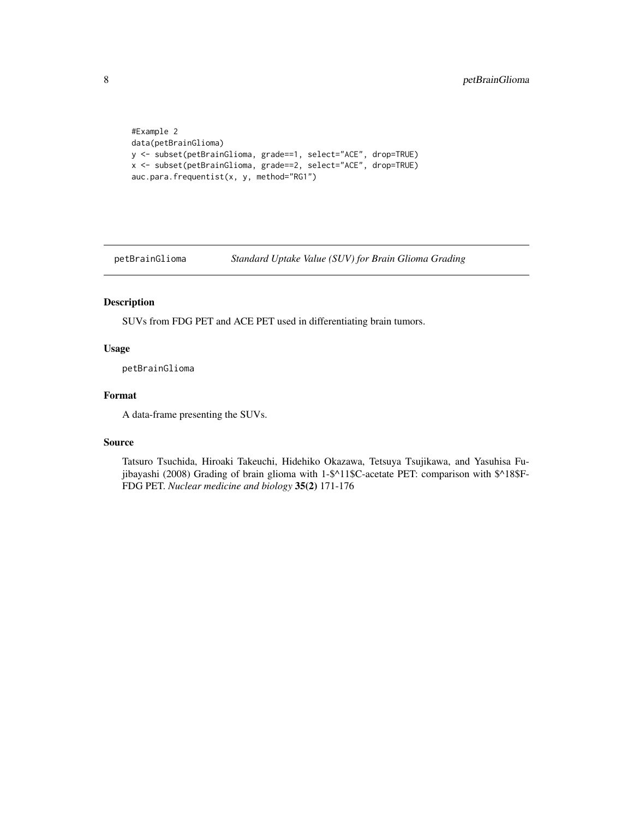```
#Example 2
data(petBrainGlioma)
y <- subset(petBrainGlioma, grade==1, select="ACE", drop=TRUE)
x <- subset(petBrainGlioma, grade==2, select="ACE", drop=TRUE)
auc.para.frequentist(x, y, method="RG1")
```
petBrainGlioma *Standard Uptake Value (SUV) for Brain Glioma Grading*

#### Description

SUVs from FDG PET and ACE PET used in differentiating brain tumors.

#### Usage

petBrainGlioma

#### Format

A data-frame presenting the SUVs.

#### Source

Tatsuro Tsuchida, Hiroaki Takeuchi, Hidehiko Okazawa, Tetsuya Tsujikawa, and Yasuhisa Fujibayashi (2008) Grading of brain glioma with 1-\$^11\$C-acetate PET: comparison with \$^18\$F-FDG PET. *Nuclear medicine and biology* 35(2) 171-176